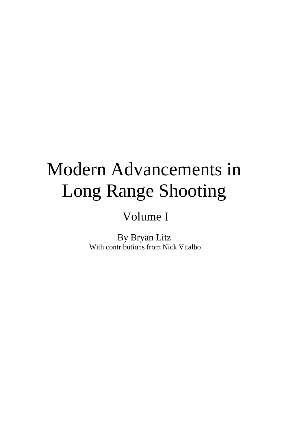# Modern Advancements in Long Range Shooting

# Volume I

By Bryan Litz With contributions from Nick Vitalbo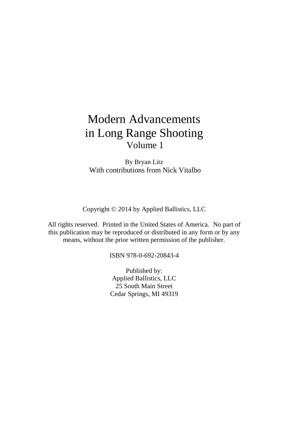# Modern Advancements in Long Range Shooting Volume 1

By Bryan Litz With contributions from Nick Vitalbo

Copyright © 2014 by Applied Ballistics, LLC

All rights reserved. Printed in the United States of America. No part of this publication may be reproduced or distributed in any form or by any means, without the prior written permission of the publisher.

ISBN 978-0-692-20843-4

Published by: Applied Ballistics, LLC 25 South Main Street Cedar Springs, MI 49319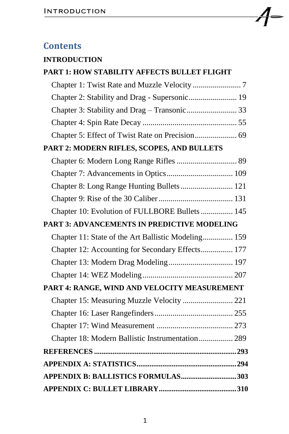## **Contents**

### **[INTRODUCTION](#page-3-0)**

| PART 1: HOW STABILITY AFFECTS BULLET FLIGHT         |  |
|-----------------------------------------------------|--|
|                                                     |  |
| Chapter 2: Stability and Drag - Supersonic 19       |  |
|                                                     |  |
|                                                     |  |
| Chapter 5: Effect of Twist Rate on Precision 69     |  |
| PART 2: MODERN RIFLES, SCOPES, AND BULLETS          |  |
|                                                     |  |
|                                                     |  |
| Chapter 8: Long Range Hunting Bullets  121          |  |
|                                                     |  |
| Chapter 10: Evolution of FULLBORE Bullets  145      |  |
| <b>PART 3: ADVANCEMENTS IN PREDICTIVE MODELING</b>  |  |
| Chapter 11: State of the Art Ballistic Modeling 159 |  |
| Chapter 12: Accounting for Secondary Effects 177    |  |
|                                                     |  |
|                                                     |  |
| PART 4: RANGE, WIND AND VELOCITY MEASUREMENT        |  |
| Chapter 15: Measuring Muzzle Velocity  221          |  |
|                                                     |  |
|                                                     |  |
| Chapter 18: Modern Ballistic Instrumentation 289    |  |
|                                                     |  |
|                                                     |  |
| APPENDIX B: BALLISTICS FORMULAS303                  |  |
|                                                     |  |

L,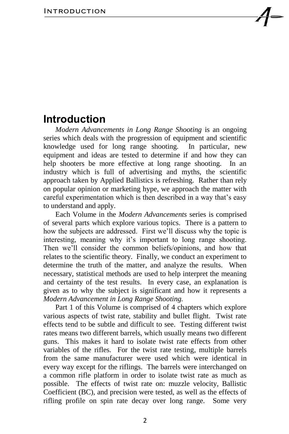<span id="page-3-0"></span>*Modern Advancements in Long Range Shooting* is an ongoing series which deals with the progression of equipment and scientific knowledge used for long range shooting. In particular, new equipment and ideas are tested to determine if and how they can help shooters be more effective at long range shooting. In an industry which is full of advertising and myths, the scientific approach taken by Applied Ballistics is refreshing. Rather than rely on popular opinion or marketing hype, we approach the matter with careful experimentation which is then described in a way that's easy to understand and apply.

Each Volume in the *Modern Advancements* series is comprised of several parts which explore various topics. There is a pattern to how the subjects are addressed. First we'll discuss why the topic is interesting, meaning why it's important to long range shooting. Then we'll consider the common beliefs/opinions, and how that relates to the scientific theory. Finally, we conduct an experiment to determine the truth of the matter, and analyze the results. When necessary, statistical methods are used to help interpret the meaning and certainty of the test results. In every case, an explanation is given as to why the subject is significant and how it represents a *Modern Advancement in Long Range Shooting.*

Part 1 of this Volume is comprised of 4 chapters which explore various aspects of twist rate, stability and bullet flight. Twist rate effects tend to be subtle and difficult to see. Testing different twist rates means two different barrels, which usually means two different guns. This makes it hard to isolate twist rate effects from other variables of the rifles. For the twist rate testing, multiple barrels from the same manufacturer were used which were identical in every way except for the riflings. The barrels were interchanged on a common rifle platform in order to isolate twist rate as much as possible. The effects of twist rate on: muzzle velocity, Ballistic Coefficient (BC), and precision were tested, as well as the effects of rifling profile on spin rate decay over long range. Some very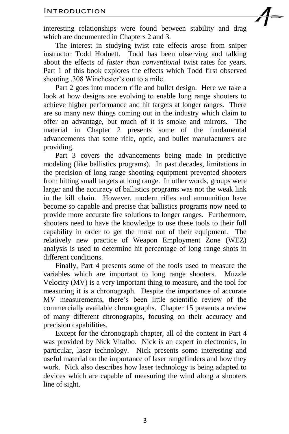interesting relationships were found between stability and drag which are documented in Chapters 2 and 3.

The interest in studying twist rate effects arose from sniper instructor Todd Hodnett. Todd has been observing and talking about the effects of *faster than conventional* twist rates for years. Part 1 of this book explores the effects which Todd first observed shooting .308 Winchester's out to a mile.

Part 2 goes into modern rifle and bullet design. Here we take a look at how designs are evolving to enable long range shooters to achieve higher performance and hit targets at longer ranges. There are so many new things coming out in the industry which claim to offer an advantage, but much of it is smoke and mirrors. The material in Chapter 2 presents some of the fundamental advancements that some rifle, optic, and bullet manufacturers are providing.

Part 3 covers the advancements being made in predictive modeling (like ballistics programs). In past decades, limitations in the precision of long range shooting equipment prevented shooters from hitting small targets at long range. In other words, groups were larger and the accuracy of ballistics programs was not the weak link in the kill chain. However, modern rifles and ammunition have become so capable and precise that ballistics programs now need to provide more accurate fire solutions to longer ranges. Furthermore, shooters need to have the knowledge to use these tools to their full capability in order to get the most out of their equipment. The relatively new practice of Weapon Employment Zone (WEZ) analysis is used to determine hit percentage of long range shots in different conditions.

Finally, Part 4 presents some of the tools used to measure the variables which are important to long range shooters. Muzzle Velocity (MV) is a very important thing to measure, and the tool for measuring it is a chronograph. Despite the importance of accurate MV measurements, there's been little scientific review of the commercially available chronographs. Chapter 15 presents a review of many different chronographs, focusing on their accuracy and precision capabilities.

Except for the chronograph chapter, all of the content in Part 4 was provided by Nick Vitalbo. Nick is an expert in electronics, in particular, laser technology. Nick presents some interesting and useful material on the importance of laser rangefinders and how they work. Nick also describes how laser technology is being adapted to devices which are capable of measuring the wind along a shooters line of sight.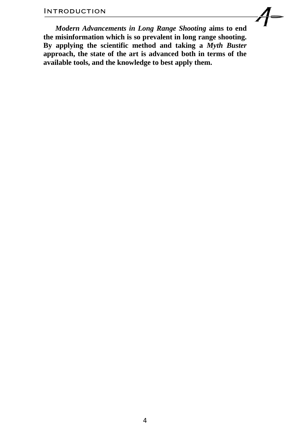*Modern Advancements in Long Range Shooting* **aims to end the misinformation which is so prevalent in long range shooting. By applying the scientific method and taking a** *Myth Buster*  **approach, the state of the art is advanced both in terms of the available tools, and the knowledge to best apply them.**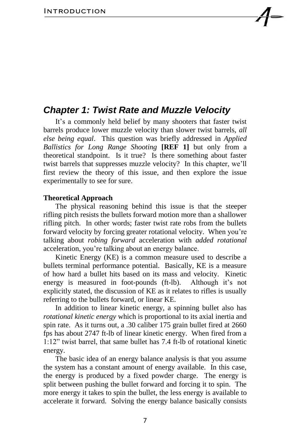### <span id="page-6-0"></span>*Chapter 1: Twist Rate and Muzzle Velocity*

It's a commonly held belief by many shooters that faster twist barrels produce lower muzzle velocity than slower twist barrels, *all else being equal*. This question was briefly addressed in *Applied Ballistics for Long Range Shooting* **[REF 1]** but only from a theoretical standpoint. Is it true? Is there something about faster twist barrels that suppresses muzzle velocity? In this chapter, we'll first review the theory of this issue, and then explore the issue experimentally to see for sure.

#### **Theoretical Approach**

The physical reasoning behind this issue is that the steeper rifling pitch resists the bullets forward motion more than a shallower rifling pitch. In other words; faster twist rate robs from the bullets forward velocity by forcing greater rotational velocity. When you're talking about *robing forward* acceleration with *added rotational*  acceleration, you're talking about an energy balance.

Kinetic Energy (KE) is a common measure used to describe a bullets terminal performance potential. Basically, KE is a measure of how hard a bullet hits based on its mass and velocity. Kinetic energy is measured in foot-pounds (ft-lb). Although it's not explicitly stated, the discussion of KE as it relates to rifles is usually referring to the bullets forward, or linear KE.

In addition to linear kinetic energy, a spinning bullet also has *rotational kinetic energy* which is proportional to its axial inertia and spin rate. As it turns out, a .30 caliber 175 grain bullet fired at 2660 fps has about 2747 ft-lb of linear kinetic energy. When fired from a 1:12" twist barrel, that same bullet has 7.4 ft-lb of rotational kinetic energy.

The basic idea of an energy balance analysis is that you assume the system has a constant amount of energy available. In this case, the energy is produced by a fixed powder charge. The energy is split between pushing the bullet forward and forcing it to spin. The more energy it takes to spin the bullet, the less energy is available to accelerate it forward. Solving the energy balance basically consists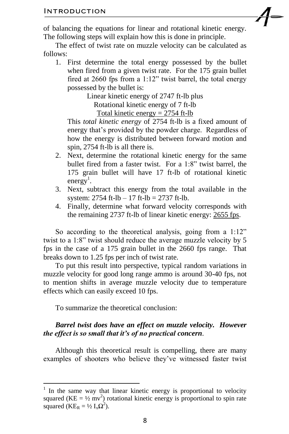of balancing the equations for linear and rotational kinetic energy. The following steps will explain how this is done in principle.

The effect of twist rate on muzzle velocity can be calculated as follows:

1. First determine the total energy possessed by the bullet when fired from a given twist rate. For the 175 grain bullet fired at 2660 fps from a 1:12" twist barrel, the total energy possessed by the bullet is:

> Linear kinetic energy of 2747 ft-lb plus Rotational kinetic energy of 7 ft-lb Total kinetic energy  $= 2754$  ft-lb

This *total kinetic energy* of 2754 ft-lb is a fixed amount of energy that's provided by the powder charge. Regardless of how the energy is distributed between forward motion and spin, 2754 ft-lb is all there is.

- 2. Next, determine the rotational kinetic energy for the same bullet fired from a faster twist. For a 1:8" twist barrel, the 175 grain bullet will have 17 ft-lb of rotational kinetic energy<sup>1</sup>.
- 3. Next, subtract this energy from the total available in the system:  $2754$  ft-lb  $- 17$  ft-lb  $= 2737$  ft-lb.
- 4. Finally, determine what forward velocity corresponds with the remaining 2737 ft-lb of linear kinetic energy: 2655 fps.

So according to the theoretical analysis, going from a 1:12" twist to a 1:8" twist should reduce the average muzzle velocity by 5 fps in the case of a 175 grain bullet in the 2660 fps range. That breaks down to 1.25 fps per inch of twist rate.

To put this result into perspective, typical random variations in muzzle velocity for good long range ammo is around 30-40 fps, not to mention shifts in average muzzle velocity due to temperature effects which can easily exceed 10 fps.

To summarize the theoretical conclusion:

#### *Barrel twist does have an effect on muzzle velocity. However the effect is so small that it's of no practical concern*.

Although this theoretical result is compelling, there are many examples of shooters who believe they've witnessed faster twist

<sup>&</sup>lt;sup>1</sup> In the same way that linear kinetic energy is proportional to velocity squared ( $KE = \frac{1}{2}$  mv<sup>2</sup>) rotational kinetic energy is proportional to spin rate squared ( $KE_R = \frac{1}{2} I_x \Omega^2$ ).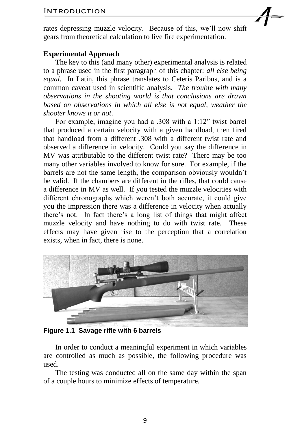rates depressing muzzle velocity. Because of this, we'll now shift gears from theoretical calculation to live fire experimentation.

#### **Experimental Approach**

The key to this (and many other) experimental analysis is related to a phrase used in the first paragraph of this chapter: *all else being equal.* In Latin, this phrase translates to Ceteris Paribus, and is a common caveat used in scientific analysis. *The trouble with many observations in the shooting world is that conclusions are drawn based on observations in which all else is not equal, weather the shooter knows it or not*.

For example, imagine you had a .308 with a 1:12" twist barrel that produced a certain velocity with a given handload, then fired that handload from a different .308 with a different twist rate and observed a difference in velocity. Could you say the difference in MV was attributable to the different twist rate? There may be too many other variables involved to know for sure. For example, if the barrels are not the same length, the comparison obviously wouldn't be valid. If the chambers are different in the rifles, that could cause a difference in MV as well. If you tested the muzzle velocities with different chronographs which weren't both accurate, it could give you the impression there was a difference in velocity when actually there's not. In fact there's a long list of things that might affect muzzle velocity and have nothing to do with twist rate. These effects may have given rise to the perception that a correlation exists, when in fact, there is none.



**Figure 1.1 Savage rifle with 6 barrels**

In order to conduct a meaningful experiment in which variables are controlled as much as possible, the following procedure was used.

The testing was conducted all on the same day within the span of a couple hours to minimize effects of temperature.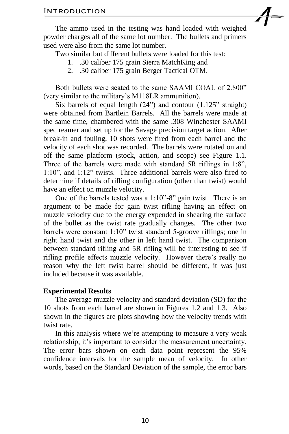The ammo used in the testing was hand loaded with weighed powder charges all of the same lot number. The bullets and primers used were also from the same lot number.

Two similar but different bullets were loaded for this test:

- 1. .30 caliber 175 grain Sierra MatchKing and
- 2. .30 caliber 175 grain Berger Tactical OTM.

Both bullets were seated to the same SAAMI COAL of 2.800" (very similar to the military's M118LR ammunition).

Six barrels of equal length (24") and contour (1.125" straight) were obtained from Bartlein Barrels. All the barrels were made at the same time, chambered with the same .308 Winchester SAAMI spec reamer and set up for the Savage precision target action. After break-in and fouling, 10 shots were fired from each barrel and the velocity of each shot was recorded. The barrels were rotated on and off the same platform (stock, action, and scope) see Figure 1.1. Three of the barrels were made with standard 5R riflings in 1:8", 1:10", and 1:12" twists. Three additional barrels were also fired to determine if details of rifling configuration (other than twist) would have an effect on muzzle velocity.

One of the barrels tested was a 1:10"-8" gain twist. There is an argument to be made for gain twist rifling having an effect on muzzle velocity due to the energy expended in shearing the surface of the bullet as the twist rate gradually changes. The other two barrels were constant 1:10" twist standard 5-groove riflings; one in right hand twist and the other in left hand twist. The comparison between standard rifling and 5R rifling will be interesting to see if rifling profile effects muzzle velocity. However there's really no reason why the left twist barrel should be different, it was just included because it was available.

#### **Experimental Results**

The average muzzle velocity and standard deviation (SD) for the 10 shots from each barrel are shown in Figures 1.2 and 1.3. Also shown in the figures are plots showing how the velocity trends with twist rate.

In this analysis where we're attempting to measure a very weak relationship, it's important to consider the measurement uncertainty. The error bars shown on each data point represent the 95% confidence intervals for the sample mean of velocity. In other words, based on the Standard Deviation of the sample, the error bars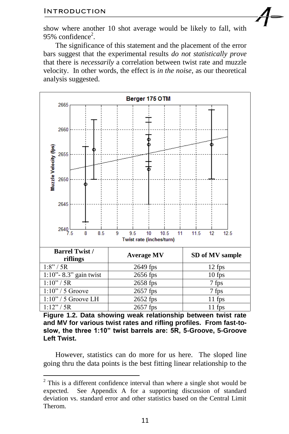$\overline{a}$ 

show where another 10 shot average would be likely to fall, with 95% confidence<sup>2</sup>.

The significance of this statement and the placement of the error bars suggest that the experimental results *do not statistically prove* that there is *necessarily* a correlation between twist rate and muzzle velocity. In other words, the effect is *in the noise*, as our theoretical analysis suggested.



**Figure 1.2. Data showing weak relationship between twist rate and MV for various twist rates and rifling profiles. From fast-toslow, the three 1:10" twist barrels are: 5R, 5-Groove, 5-Groove Left Twist.**

However, statistics can do more for us here. The sloped line going thru the data points is the best fitting linear relationship to the

 $2$  This is a different confidence interval than where a single shot would be expected. See Appendix A for a supporting discussion of standard deviation vs. standard error and other statistics based on the Central Limit Therom.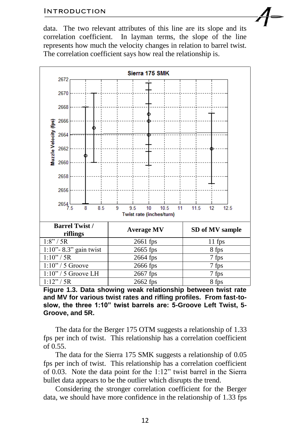data. The two relevant attributes of this line are its slope and its correlation coefficient. In layman terms, the slope of the line represents how much the velocity changes in relation to barrel twist. The correlation coefficient says how real the relationship is.



**Figure 1.3. Data showing weak relationship between twist rate and MV for various twist rates and rifling profiles. From fast-toslow, the three 1:10" twist barrels are: 5-Groove Left Twist, 5- Groove, and 5R.**

The data for the Berger 175 OTM suggests a relationship of 1.33 fps per inch of twist. This relationship has a correlation coefficient of 0.55.

The data for the Sierra 175 SMK suggests a relationship of 0.05 fps per inch of twist. This relationship has a correlation coefficient of 0.03. Note the data point for the 1:12" twist barrel in the Sierra bullet data appears to be the outlier which disrupts the trend.

Considering the stronger correlation coefficient for the Berger data, we should have more confidence in the relationship of 1.33 fps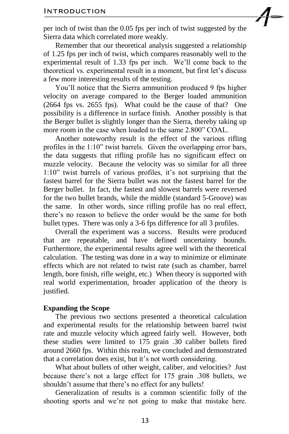per inch of twist than the 0.05 fps per inch of twist suggested by the Sierra data which correlated more weakly.

Remember that our theoretical analysis suggested a relationship of 1.25 fps per inch of twist, which compares reasonably well to the experimental result of 1.33 fps per inch. We'll come back to the theoretical vs. experimental result in a moment, but first let's discuss a few more interesting results of the testing.

You'll notice that the Sierra ammunition produced 9 fps higher velocity on average compared to the Berger loaded ammunition (2664 fps vs. 2655 fps). What could be the cause of that? One possibility is a difference in surface finish. Another possibly is that the Berger bullet is slightly longer than the Sierra, thereby taking up more room in the case when loaded to the same 2.800" COAL.

Another noteworthy result is the effect of the various rifling profiles in the 1:10" twist barrels. Given the overlapping error bars, the data suggests that rifling profile has no significant effect on muzzle velocity. Because the velocity was so similar for all three 1:10" twist barrels of various profiles, it's not surprising that the fastest barrel for the Sierra bullet was not the fastest barrel for the Berger bullet. In fact, the fastest and slowest barrels were reversed for the two bullet brands, while the middle (standard 5-Groove) was the same. In other words, since rifling profile has no real effect, there's no reason to believe the order would be the same for both bullet types. There was only a 3-6 fps difference for all 3 profiles.

Overall the experiment was a success. Results were produced that are repeatable, and have defined uncertainty bounds. Furthermore, the experimental results agree well with the theoretical calculation. The testing was done in a way to minimize or eliminate effects which are not related to twist rate (such as chamber, barrel length, bore finish, rifle weight, etc.) When theory is supported with real world experimentation, broader application of the theory is justified.

#### **Expanding the Scope**

The previous two sections presented a theoretical calculation and experimental results for the relationship between barrel twist rate and muzzle velocity which agreed fairly well. However, both these studies were limited to 175 grain .30 caliber bullets fired around 2660 fps. Within this realm, we concluded and demonstrated that a correlation does exist, but it's not worth considering.

What about bullets of other weight, caliber, and velocities? Just because there's not a large effect for 175 grain .308 bullets, we shouldn't assume that there's no effect for any bullets!

Generalization of results is a common scientific folly of the shooting sports and we're not going to make that mistake here.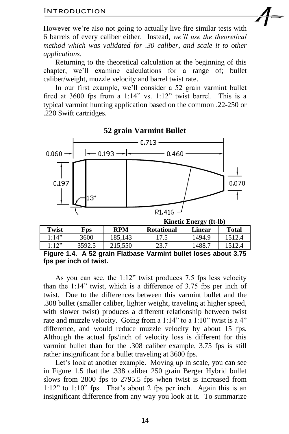However we're also not going to actually live fire similar tests with 6 barrels of every caliber either. Instead, *we'll use the theoretical method which was validated for .30 caliber, and scale it to other applications*.

Returning to the theoretical calculation at the beginning of this chapter, we'll examine calculations for a range of; bullet caliber/weight, muzzle velocity and barrel twist rate.

In our first example, we'll consider a 52 grain varmint bullet fired at 3600 fps from a  $1:14$ " vs.  $1:12$ " twist barrel. This is a typical varmint hunting application based on the common .22-250 or .220 Swift cartridges.



|       |        | $\cdots$<br>. |                   |               |              |
|-------|--------|---------------|-------------------|---------------|--------------|
| Twist | Fps.   | RPM           | <b>Rotational</b> | <b>Linear</b> | <b>Total</b> |
| 1:14" | 3600   | 185.143       |                   | 1494.9        | '512.4       |
| l:12" | 3592.5 | 215,550       | 23.7              | 1488.1        | 1512.4       |

**Figure 1.4. A 52 grain Flatbase Varmint bullet loses about 3.75 fps per inch of twist.**

As you can see, the 1:12" twist produces 7.5 fps less velocity than the 1:14" twist, which is a difference of 3.75 fps per inch of twist. Due to the differences between this varmint bullet and the .308 bullet (smaller caliber, lighter weight, traveling at higher speed, with slower twist) produces a different relationship between twist rate and muzzle velocity. Going from a 1:14" to a 1:10" twist is a 4" difference, and would reduce muzzle velocity by about 15 fps. Although the actual fps/inch of velocity loss is different for this varmint bullet than for the .308 caliber example, 3.75 fps is still rather insignificant for a bullet traveling at 3600 fps.

Let's look at another example. Moving up in scale, you can see in Figure 1.5 that the .338 caliber 250 grain Berger Hybrid bullet slows from 2800 fps to 2795.5 fps when twist is increased from 1:12" to 1:10" fps. That's about 2 fps per inch. Again this is an insignificant difference from any way you look at it. To summarize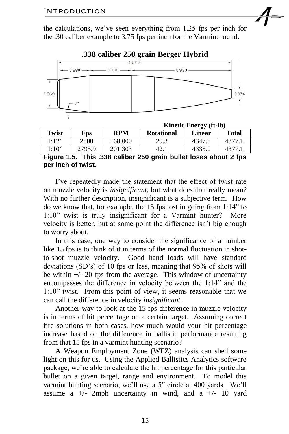the calculations, we've seen everything from 1.25 fps per inch for the .30 caliber example to 3.75 fps per inch for the Varmint round.



#### **.338 caliber 250 grain Berger Hybrid**

|       |                         | <b>INITIALLY LITTLE IN A LITTLE IN A LITTLE IN A LITTLE IN A</b> |                   |        |              |
|-------|-------------------------|------------------------------------------------------------------|-------------------|--------|--------------|
| Twist | $\mathbf{F}\mathbf{DS}$ | <b>RPM</b>                                                       | <b>Rotational</b> | Linear | <b>Total</b> |
| l:12" | 2800                    | 168.000                                                          | 29.3              | 4347.8 | 4377.1       |
| l:10" | 2795.9                  | 201.303                                                          | 42.               | 4335.0 | 4377.1       |

**Kinetic Energy** 

**Figure 1.5. This .338 caliber 250 grain bullet loses about 2 fps per inch of twist.**

I've repeatedly made the statement that the effect of twist rate on muzzle velocity is *insignificant,* but what does that really mean? With no further description, insignificant is a subjective term. How do we know that, for example, the 15 fps lost in going from 1:14" to 1:10" twist is truly insignificant for a Varmint hunter? More velocity is better, but at some point the difference isn't big enough to worry about.

In this case, one way to consider the significance of a number like 15 fps is to think of it in terms of the normal fluctuation in shotto-shot muzzle velocity. Good hand loads will have standard deviations (SD's) of 10 fps or less, meaning that 95% of shots will be within  $+/- 20$  fps from the average. This window of uncertainty encompasses the difference in velocity between the 1:14" and the 1:10" twist. From this point of view, it seems reasonable that we can call the difference in velocity *insignificant.* 

Another way to look at the 15 fps difference in muzzle velocity is in terms of hit percentage on a certain target. Assuming correct fire solutions in both cases, how much would your hit percentage increase based on the difference in ballistic performance resulting from that 15 fps in a varmint hunting scenario?

A Weapon Employment Zone (WEZ) analysis can shed some light on this for us. Using the Applied Ballistics Analytics software package, we're able to calculate the hit percentage for this particular bullet on a given target, range and environment. To model this varmint hunting scenario, we'll use a 5" circle at 400 yards. We'll assume a  $+/-$  2mph uncertainty in wind, and a  $+/-$  10 yard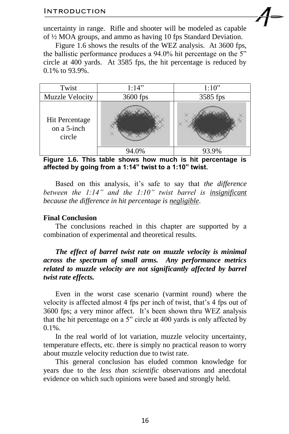uncertainty in range. Rifle and shooter will be modeled as capable of ½ MOA groups, and ammo as having 10 fps Standard Deviation.

Figure 1.6 shows the results of the WEZ analysis. At 3600 fps, the ballistic performance produces a 94.0% hit percentage on the 5" circle at 400 yards. At 3585 fps, the hit percentage is reduced by 0.1% to 93.9%.



**Figure 1.6. This table shows how much is hit percentage is affected by going from a 1:14" twist to a 1:10" twist.** 

Based on this analysis, it's safe to say that *the difference between the 1:14" and the 1:10" twist barrel is insignificant because the difference in hit percentage is negligible*.

#### **Final Conclusion**

The conclusions reached in this chapter are supported by a combination of experimental and theoretical results.

*The effect of barrel twist rate on muzzle velocity is minimal across the spectrum of small arms. Any performance metrics related to muzzle velocity are not significantly affected by barrel twist rate effects.*

Even in the worst case scenario (varmint round) where the velocity is affected almost 4 fps per inch of twist, that's 4 fps out of 3600 fps; a very minor affect. It's been shown thru WEZ analysis that the hit percentage on a 5" circle at 400 yards is only affected by 0.1%.

In the real world of lot variation, muzzle velocity uncertainty, temperature effects, etc. there is simply no practical reason to worry about muzzle velocity reduction due to twist rate.

This general conclusion has eluded common knowledge for years due to the *less than scientific* observations and anecdotal evidence on which such opinions were based and strongly held.